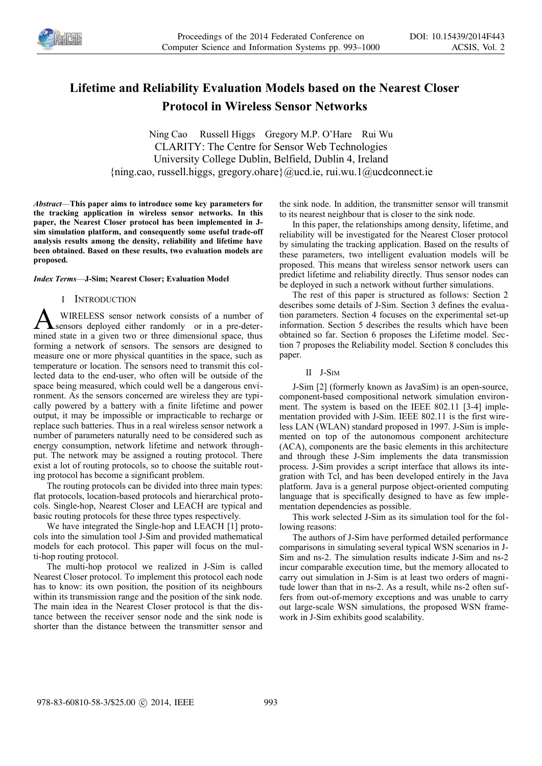

# **Lifetime and Reliability Evaluation Models based on the Nearest Closer Protocol in Wireless Sensor Networks**

Ning Cao Russell Higgs Gregory M.P. O'Hare Rui Wu CLARITY: The Centre for Sensor Web Technologies University College Dublin, Belfield, Dublin 4, Ireland {ning.cao, russell.higgs, gregory.ohare}@ucd.ie, rui.wu.1@ucdconnect.ie

*Abstract*—**This paper aims to introduce some key parameters for the tracking application in wireless sensor networks. In this paper, the Nearest Closer protocol has been implemented in Jsim simulation platform, and consequently some useful trade-off analysis results among the density, reliability and lifetime have been obtained. Based on these results, two evaluation models are proposed.**

#### *Index Terms*—**J-Sim; Nearest Closer; Evaluation Model**

# I INTRODUCTION

WIRELESS sensor network consists of a number of **A** WIRELESS sensor network consists of a number of sensors deployed either randomly or in a pre-deter-<br>mined atta in a given two or three dimensional gnase, thus mined state in a given two or three dimensional space, thus forming a network of sensors. The sensors are designed to measure one or more physical quantities in the space, such as temperature or location. The sensors need to transmit this collected data to the end-user, who often will be outside of the space being measured, which could well be a dangerous environment. As the sensors concerned are wireless they are typically powered by a battery with a finite lifetime and power output, it may be impossible or impracticable to recharge or replace such batteries. Thus in a real wireless sensor network a number of parameters naturally need to be considered such as energy consumption, network lifetime and network throughput. The network may be assigned a routing protocol. There exist a lot of routing protocols, so to choose the suitable routing protocol has become a significant problem.

The routing protocols can be divided into three main types: flat protocols, location-based protocols and hierarchical protocols. Single-hop, Nearest Closer and LEACH are typical and basic routing protocols for these three types respectively.

We have integrated the Single-hop and LEACH [1] protocols into the simulation tool J-Sim and provided mathematical models for each protocol. This paper will focus on the multi-hop routing protocol.

The multi-hop protocol we realized in J-Sim is called Nearest Closer protocol. To implement this protocol each node has to know: its own position, the position of its neighbours within its transmission range and the position of the sink node. The main idea in the Nearest Closer protocol is that the distance between the receiver sensor node and the sink node is shorter than the distance between the transmitter sensor and

the sink node. In addition, the transmitter sensor will transmit to its nearest neighbour that is closer to the sink node.

In this paper, the relationships among density, lifetime, and reliability will be investigated for the Nearest Closer protocol by simulating the tracking application. Based on the results of these parameters, two intelligent evaluation models will be proposed. This means that wireless sensor network users can predict lifetime and reliability directly. Thus sensor nodes can be deployed in such a network without further simulations.

The rest of this paper is structured as follows: Section 2 describes some details of J-Sim. Section 3 defines the evaluation parameters. Section 4 focuses on the experimental set-up information. Section 5 describes the results which have been obtained so far. Section 6 proposes the Lifetime model. Section 7 proposes the Reliability model. Section 8 concludes this paper.

# II J-SIM

J-Sim [2] (formerly known as JavaSim) is an open-source, component-based compositional network simulation environment. The system is based on the IEEE 802.11 [3-4] implementation provided with J-Sim. IEEE 802.11 is the first wireless LAN (WLAN) standard proposed in 1997. J-Sim is implemented on top of the autonomous component architecture (ACA), components are the basic elements in this architecture and through these J-Sim implements the data transmission process. J-Sim provides a script interface that allows its integration with Tcl, and has been developed entirely in the Java platform. Java is a general purpose object-oriented computing language that is specifically designed to have as few implementation dependencies as possible.

This work selected J-Sim as its simulation tool for the following reasons:

The authors of J-Sim have performed detailed performance comparisons in simulating several typical WSN scenarios in J-Sim and ns-2. The simulation results indicate J-Sim and ns-2 incur comparable execution time, but the memory allocated to carry out simulation in J-Sim is at least two orders of magnitude lower than that in ns-2. As a result, while ns-2 often suffers from out-of-memory exceptions and was unable to carry out large-scale WSN simulations, the proposed WSN framework in J-Sim exhibits good scalability.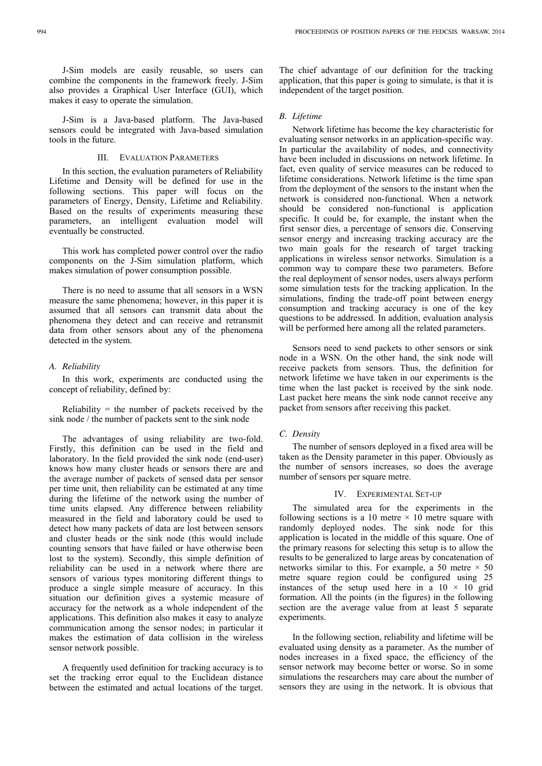J-Sim models are easily reusable, so users can combine the components in the framework freely. J-Sim also provides a Graphical User Interface (GUI), which makes it easy to operate the simulation.

J-Sim is a Java-based platform. The Java-based sensors could be integrated with Java-based simulation tools in the future.

# III. EVALUATION PARAMETERS

In this section, the evaluation parameters of Reliability Lifetime and Density will be defined for use in the following sections. This paper will focus on the parameters of Energy, Density, Lifetime and Reliability. Based on the results of experiments measuring these parameters, an intelligent evaluation model will eventually be constructed.

This work has completed power control over the radio components on the J-Sim simulation platform, which makes simulation of power consumption possible.

There is no need to assume that all sensors in a WSN measure the same phenomena; however, in this paper it is assumed that all sensors can transmit data about the phenomena they detect and can receive and retransmit data from other sensors about any of the phenomena detected in the system.

#### *A. Reliability*

In this work, experiments are conducted using the concept of reliability, defined by:

Reliability  $=$  the number of packets received by the sink node / the number of packets sent to the sink node

The advantages of using reliability are two-fold. Firstly, this definition can be used in the field and laboratory. In the field provided the sink node (end-user) knows how many cluster heads or sensors there are and the average number of packets of sensed data per sensor per time unit, then reliability can be estimated at any time during the lifetime of the network using the number of time units elapsed. Any difference between reliability measured in the field and laboratory could be used to detect how many packets of data are lost between sensors and cluster heads or the sink node (this would include counting sensors that have failed or have otherwise been lost to the system). Secondly, this simple definition of reliability can be used in a network where there are sensors of various types monitoring different things to produce a single simple measure of accuracy. In this situation our definition gives a systemic measure of accuracy for the network as a whole independent of the applications. This definition also makes it easy to analyze communication among the sensor nodes; in particular it makes the estimation of data collision in the wireless sensor network possible.

A frequently used definition for tracking accuracy is to set the tracking error equal to the Euclidean distance between the estimated and actual locations of the target. The chief advantage of our definition for the tracking application, that this paper is going to simulate, is that it is independent of the target position.

# *B. Lifetime*

Network lifetime has become the key characteristic for evaluating sensor networks in an application-specific way. In particular the availability of nodes, and connectivity have been included in discussions on network lifetime. In fact, even quality of service measures can be reduced to lifetime considerations. Network lifetime is the time span from the deployment of the sensors to the instant when the network is considered non-functional. When a network should be considered non-functional is application specific. It could be, for example, the instant when the first sensor dies, a percentage of sensors die. Conserving sensor energy and increasing tracking accuracy are the two main goals for the research of target tracking applications in wireless sensor networks. Simulation is a common way to compare these two parameters. Before the real deployment of sensor nodes, users always perform some simulation tests for the tracking application. In the simulations, finding the trade-off point between energy consumption and tracking accuracy is one of the key questions to be addressed. In addition, evaluation analysis will be performed here among all the related parameters.

Sensors need to send packets to other sensors or sink node in a WSN. On the other hand, the sink node will receive packets from sensors. Thus, the definition for network lifetime we have taken in our experiments is the time when the last packet is received by the sink node. Last packet here means the sink node cannot receive any packet from sensors after receiving this packet.

# *C. Density*

The number of sensors deployed in a fixed area will be taken as the Density parameter in this paper. Obviously as the number of sensors increases, so does the average number of sensors per square metre.

# IV. EXPERIMENTAL SET-UP

The simulated area for the experiments in the following sections is a 10 metre  $\times$  10 metre square with randomly deployed nodes. The sink node for this application is located in the middle of this square. One of the primary reasons for selecting this setup is to allow the results to be generalized to large areas by concatenation of networks similar to this. For example, a 50 metre  $\times$  50 metre square region could be configured using 25 instances of the setup used here in a  $10 \times 10$  grid formation. All the points (in the figures) in the following section are the average value from at least 5 separate experiments.

In the following section, reliability and lifetime will be evaluated using density as a parameter. As the number of nodes increases in a fixed space, the efficiency of the sensor network may become better or worse. So in some simulations the researchers may care about the number of sensors they are using in the network. It is obvious that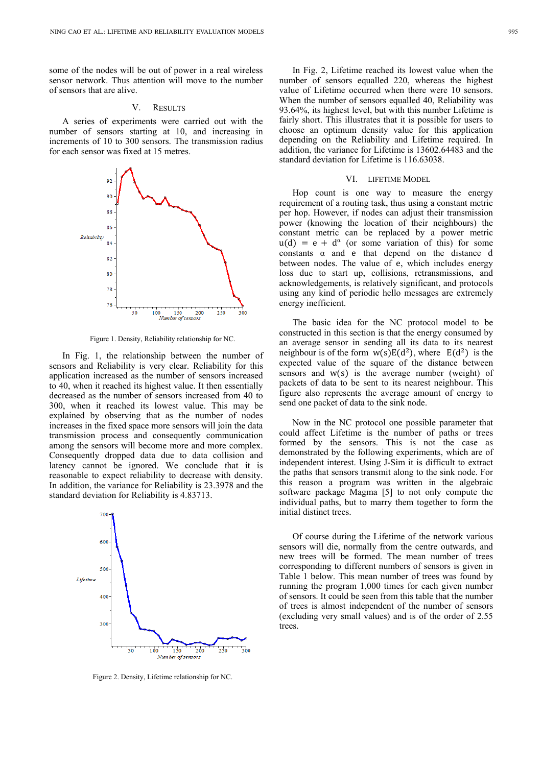some of the nodes will be out of power in a real wireless sensor network. Thus attention will move to the number of sensors that are alive.

#### V. RESULTS

A series of experiments were carried out with the number of sensors starting at 10, and increasing in increments of 10 to 300 sensors. The transmission radius for each sensor was fixed at 15 metres.



Figure 1. Density, Reliability relationship for NC.

In Fig. 1, the relationship between the number of sensors and Reliability is very clear. Reliability for this application increased as the number of sensors increased to 40, when it reached its highest value. It then essentially decreased as the number of sensors increased from 40 to 300, when it reached its lowest value. This may be explained by observing that as the number of nodes increases in the fixed space more sensors will join the data transmission process and consequently communication among the sensors will become more and more complex. Consequently dropped data due to data collision and latency cannot be ignored. We conclude that it is reasonable to expect reliability to decrease with density. In addition, the variance for Reliability is 23.3978 and the standard deviation for Reliability is 4.83713.



Figure 2. Density, Lifetime relationship for NC.

In Fig. 2, Lifetime reached its lowest value when the number of sensors equalled 220, whereas the highest value of Lifetime occurred when there were 10 sensors. When the number of sensors equalled 40, Reliability was 93.64%, its highest level, but with this number Lifetime is fairly short. This illustrates that it is possible for users to choose an optimum density value for this application depending on the Reliability and Lifetime required. In addition, the variance for Lifetime is 13602.64483 and the standard deviation for Lifetime is 116.63038.

#### VI. LIFETIME MODEL

Hop count is one way to measure the energy requirement of a routing task, thus using a constant metric per hop. However, if nodes can adjust their transmission power (knowing the location of their neighbours) the constant metric can be replaced by a power metric  $u(d) = e + d^{\alpha}$  (or some variation of this) for some constants α and e that depend on the distance d between nodes. The value of e, which includes energy loss due to start up, collisions, retransmissions, and acknowledgements, is relatively significant, and protocols using any kind of periodic hello messages are extremely energy inefficient.

The basic idea for the NC protocol model to be constructed in this section is that the energy consumed by an average sensor in sending all its data to its nearest neighbour is of the form  $w(s)E(d^2)$ , where  $E(d^2)$  is the expected value of the square of the distance between sensors and  $w(s)$  is the average number (weight) of packets of data to be sent to its nearest neighbour. This figure also represents the average amount of energy to send one packet of data to the sink node.

Now in the NC protocol one possible parameter that could affect Lifetime is the number of paths or trees formed by the sensors. This is not the case as demonstrated by the following experiments, which are of independent interest. Using J-Sim it is difficult to extract the paths that sensors transmit along to the sink node. For this reason a program was written in the algebraic software package Magma [5] to not only compute the individual paths, but to marry them together to form the initial distinct trees.

Of course during the Lifetime of the network various sensors will die, normally from the centre outwards, and new trees will be formed. The mean number of trees corresponding to different numbers of sensors is given in Table 1 below. This mean number of trees was found by running the program 1,000 times for each given number of sensors. It could be seen from this table that the number of trees is almost independent of the number of sensors (excluding very small values) and is of the order of 2.55 trees.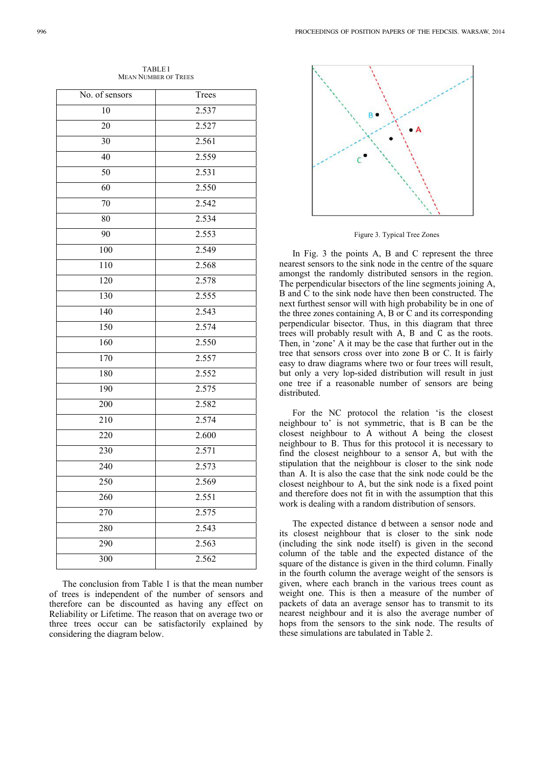| No. of sensors | Trees |
|----------------|-------|
| 10             | 2.537 |
| 20             | 2.527 |
| 30             | 2.561 |
| 40             | 2.559 |
| 50             | 2.531 |
| 60             | 2.550 |
| 70             | 2.542 |
| 80             | 2.534 |
| 90             | 2.553 |
| 100            | 2.549 |
| 110            | 2.568 |
| 120            | 2.578 |
| 130            | 2.555 |
| 140            | 2.543 |
| 150            | 2.574 |
| 160            | 2.550 |
| 170            | 2.557 |
| 180            | 2.552 |
| 190            | 2.575 |
| 200            | 2.582 |
| 210            | 2.574 |
| 220            | 2.600 |
| 230            | 2.571 |
| 240            | 2.573 |
| 250            | 2.569 |
| 260            | 2.551 |
| 270            | 2.575 |
| 280            | 2.543 |
| 290            | 2.563 |
| 300            | 2.562 |

The conclusion from Table 1 is that the mean number of trees is independent of the number of sensors and therefore can be discounted as having any effect on Reliability or Lifetime. The reason that on average two or three trees occur can be satisfactorily explained by considering the diagram below.

In Fig. 3 the points A, B and C represent the three nearest sensors to the sink node in the centre of the square amongst the randomly distributed sensors in the region. The perpendicular bisectors of the line segments joining A, B and  $\overline{C}$  to the sink node have then been constructed. The next furthest sensor will with high probability be in one of the three zones containing A, B or C and its corresponding perpendicular bisector. Thus, in this diagram that three trees will probably result with A, B and C as the roots. Then, in 'zone' A it may be the case that further out in the tree that sensors cross over into zone B or C. It is fairly easy to draw diagrams where two or four trees will result, but only a very lop-sided distribution will result in just one tree if a reasonable number of sensors are being distributed.

For the NC protocol the relation 'is the closest neighbour to' is not symmetric, that is B can be the closest neighbour to A without A being the closest neighbour to B. Thus for this protocol it is necessary to find the closest neighbour to a sensor A, but with the stipulation that the neighbour is closer to the sink node than A. It is also the case that the sink node could be the closest neighbour to A, but the sink node is a fixed point and therefore does not fit in with the assumption that this work is dealing with a random distribution of sensors.

The expected distance d between a sensor node and its closest neighbour that is closer to the sink node (including the sink node itself) is given in the second column of the table and the expected distance of the square of the distance is given in the third column. Finally in the fourth column the average weight of the sensors is given, where each branch in the various trees count as weight one. This is then a measure of the number of packets of data an average sensor has to transmit to its nearest neighbour and it is also the average number of hops from the sensors to the sink node. The results of these simulations are tabulated in Table 2.

TABLE I MEAN NUMBER OF TREES



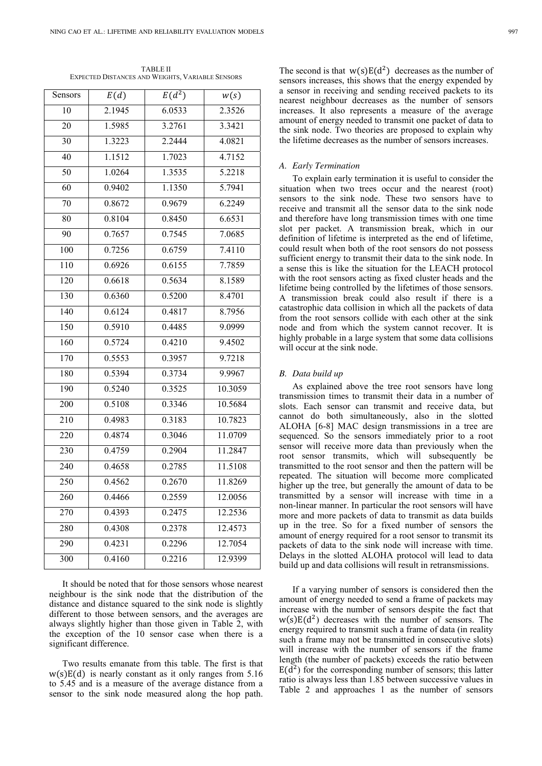TABLE II EXPECTED DISTANCES AND WEIGHTS, VARIABLE SENSORS

| Sensors          | E(d)                | $E(d^2)$ | w(s)                 |
|------------------|---------------------|----------|----------------------|
| 10               | 2.1945              | 6.0533   | 2.3526               |
| $\overline{20}$  | $\overline{1.5985}$ | 3.2761   | 3.3421               |
| 30               | 1.3223              | 2.2444   | 4.0821               |
| 40               | 1.1512              | 1.7023   | 4.7152               |
| 50               | 1.0264              | 1.3535   | 5.2218               |
| $\overline{60}$  | 0.9402              | 1.1350   | 5.7941               |
| 70               | 0.8672              | 0.9679   | 6.2249               |
| 80               | 0.8104              | 0.8450   | 6.6531               |
| 90               | 0.7657              | 0.7545   | 7.0685               |
| 100              | 0.7256              | 0.6759   | 7.4110               |
| $\overline{110}$ | 0.6926              | 0.6155   | 7.7859               |
| 120              | 0.6618              | 0.5634   | 8.1589               |
| 130              | 0.6360              | 0.5200   | 8.4701               |
| 140              | 0.6124              | 0.4817   | 8.7956               |
| 150              | 0.5910              | 0.4485   | 9.0999               |
| 160              | 0.5724              | 0.4210   | 9.4502               |
| 170              | 0.5553              | 0.3957   | 9.7218               |
| 180              | 0.5394              | 0.3734   | 9.9967               |
| 190              | 0.5240              | 0.3525   | 10.3059              |
| 200              | 0.5108              | 0.3346   | 10.5684              |
| 210              | 0.4983              | 0.3183   | 10.7823              |
| 220              | 0.4874              | 0.3046   | 11.0709              |
| 230              | 0.4759              | 0.2904   | 11.2847              |
| 240              | 0.4658              | 0.2785   | 11.5108              |
| 250              | 0.4562              | 0.2670   | 11.8269              |
| 260              | 0.4466              | 0.2559   | 12.0056              |
| 270              | 0.4393              | 0.2475   | 12.2536              |
| 280              | 0.4308              | 0.2378   | 12.4573              |
| 290              | 0.4231              | 0.2296   | $\overline{12.7054}$ |
| 300              | 0.4160              | 0.2216   | 12.9399              |

It should be noted that for those sensors whose nearest neighbour is the sink node that the distribution of the distance and distance squared to the sink node is slightly different to those between sensors, and the averages are always slightly higher than those given in Table 2, with the exception of the 10 sensor case when there is a significant difference.

Two results emanate from this table. The first is that  $w(s)E(d)$  is nearly constant as it only ranges from 5.16 to 5.45 and is a measure of the average distance from a sensor to the sink node measured along the hop path.

The second is that  $w(s)E(d^2)$  decreases as the number of sensors increases, this shows that the energy expended by a sensor in receiving and sending received packets to its nearest neighbour decreases as the number of sensors increases. It also represents a measure of the average amount of energy needed to transmit one packet of data to the sink node. Two theories are proposed to explain why the lifetime decreases as the number of sensors increases.

# *A. Early Termination*

To explain early termination it is useful to consider the situation when two trees occur and the nearest (root) sensors to the sink node. These two sensors have to receive and transmit all the sensor data to the sink node and therefore have long transmission times with one time slot per packet. A transmission break, which in our definition of lifetime is interpreted as the end of lifetime, could result when both of the root sensors do not possess sufficient energy to transmit their data to the sink node. In a sense this is like the situation for the LEACH protocol with the root sensors acting as fixed cluster heads and the lifetime being controlled by the lifetimes of those sensors. A transmission break could also result if there is a catastrophic data collision in which all the packets of data from the root sensors collide with each other at the sink node and from which the system cannot recover. It is highly probable in a large system that some data collisions will occur at the sink node.

# *B. Data build up*

As explained above the tree root sensors have long transmission times to transmit their data in a number of slots. Each sensor can transmit and receive data, but cannot do both simultaneously, also in the slotted ALOHA [6-8] MAC design transmissions in a tree are sequenced. So the sensors immediately prior to a root sensor will receive more data than previously when the root sensor transmits, which will subsequently be transmitted to the root sensor and then the pattern will be repeated. The situation will become more complicated higher up the tree, but generally the amount of data to be transmitted by a sensor will increase with time in a non-linear manner. In particular the root sensors will have more and more packets of data to transmit as data builds up in the tree. So for a fixed number of sensors the amount of energy required for a root sensor to transmit its packets of data to the sink node will increase with time. Delays in the slotted ALOHA protocol will lead to data build up and data collisions will result in retransmissions.

If a varying number of sensors is considered then the amount of energy needed to send a frame of packets may increase with the number of sensors despite the fact that  $w(s)E(d^2)$  decreases with the number of sensors. The energy required to transmit such a frame of data (in reality such a frame may not be transmitted in consecutive slots) will increase with the number of sensors if the frame length (the number of packets) exceeds the ratio between  $E(d^2)$  for the corresponding number of sensors; this latter ratio is always less than 1.85 between successive values in Table 2 and approaches 1 as the number of sensors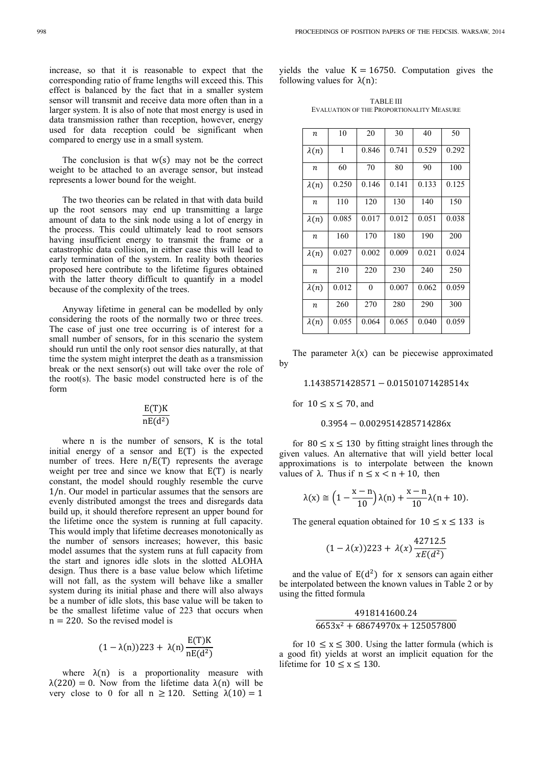increase, so that it is reasonable to expect that the corresponding ratio of frame lengths will exceed this. This effect is balanced by the fact that in a smaller system sensor will transmit and receive data more often than in a larger system. It is also of note that most energy is used in data transmission rather than reception, however, energy used for data reception could be significant when compared to energy use in a small system.

The conclusion is that  $w(s)$  may not be the correct weight to be attached to an average sensor, but instead represents a lower bound for the weight.

The two theories can be related in that with data build up the root sensors may end up transmitting a large amount of data to the sink node using a lot of energy in the process. This could ultimately lead to root sensors having insufficient energy to transmit the frame or a catastrophic data collision, in either case this will lead to early termination of the system. In reality both theories proposed here contribute to the lifetime figures obtained with the latter theory difficult to quantify in a model because of the complexity of the trees.

Anyway lifetime in general can be modelled by only considering the roots of the normally two or three trees. The case of just one tree occurring is of interest for a small number of sensors, for in this scenario the system should run until the only root sensor dies naturally, at that time the system might interpret the death as a transmission break or the next sensor(s) out will take over the role of the root(s). The basic model constructed here is of the form

# E(T)K  $nE(d^2)$

where n is the number of sensors, K is the total initial energy of a sensor and  $E(T)$  is the expected number of trees. Here  $n/E(T)$  represents the average weight per tree and since we know that  $E(T)$  is nearly constant, the model should roughly resemble the curve  $1/n$ . Our model in particular assumes that the sensors are evenly distributed amongst the trees and disregards data build up, it should therefore represent an upper bound for the lifetime once the system is running at full capacity. This would imply that lifetime decreases monotonically as the number of sensors increases; however, this basic model assumes that the system runs at full capacity from the start and ignores idle slots in the slotted ALOHA design. Thus there is a base value below which lifetime will not fall, as the system will behave like a smaller system during its initial phase and there will also always be a number of idle slots, this base value will be taken to be the smallest lifetime value of 223 that occurs when  $n = 220$ . So the revised model is

$$
(1 - \lambda(n))223 + \lambda(n)\frac{E(T)K}{nE(d^2)}
$$

where  $\lambda(n)$  is a proportionality measure with  $\lambda(220) = 0$ . Now from the lifetime data  $\lambda(n)$  will be very close to 0 for all  $n \ge 120$ . Setting  $\lambda(10) = 1$ 

yields the value  $K = 16750$ . Computation gives the following values for  $\lambda(n)$ :

TABLE III EVALUATION OF THE PROPORTIONALITY MEASURE

| n                | 10    | 20       | 30    | 40    | 50    |
|------------------|-------|----------|-------|-------|-------|
| $\lambda(n)$     | 1     | 0.846    | 0.741 | 0.529 | 0.292 |
| $\boldsymbol{n}$ | 60    | 70       | 80    | 90    | 100   |
| $\lambda(n)$     | 0.250 | 0.146    | 0.141 | 0.133 | 0.125 |
| $\boldsymbol{n}$ | 110   | 120      | 130   | 140   | 150   |
| $\lambda(n)$     | 0.085 | 0.017    | 0.012 | 0.051 | 0.038 |
| $\boldsymbol{n}$ | 160   | 170      | 180   | 190   | 200   |
| $\lambda(n)$     | 0.027 | 0.002    | 0.009 | 0.021 | 0.024 |
| $\boldsymbol{n}$ | 210   | 220      | 230   | 240   | 250   |
| $\lambda(n)$     | 0.012 | $\theta$ | 0.007 | 0.062 | 0.059 |
| $\boldsymbol{n}$ | 260   | 270      | 280   | 290   | 300   |
| $\lambda(n)$     | 0.055 | 0.064    | 0.065 | 0.040 | 0.059 |

The parameter  $\lambda(x)$  can be piecewise approximated by

 $1.1438571428571 - 0.01501071428514x$ 

for  $10 \le x \le 70$ , and

 $0.3954 - 0.0029514285714286x$ 

for  $80 \le x \le 130$  by fitting straight lines through the given values. An alternative that will yield better local approximations is to interpolate between the known values of  $\lambda$ . Thus if  $n \leq x < n + 10$ , then

$$
\lambda(x) \cong \left(1 - \frac{x - n}{10}\right)\lambda(n) + \frac{x - n}{10}\lambda(n + 10).
$$

The general equation obtained for  $10 \le x \le 133$  is

$$
(1 - \lambda(x))223 + \lambda(x)\frac{42712.5}{xE(d^2)}
$$

and the value of  $E(d^2)$  for x sensors can again either be interpolated between the known values in Table 2 or by using the fitted formula

$$
\frac{4918141600.24}{6653x^2 + 68674970x + 125057800}
$$

for  $10 \le x \le 300$ . Using the latter formula (which is a good fit) yields at worst an implicit equation for the lifetime for  $10 \le x \le 130$ .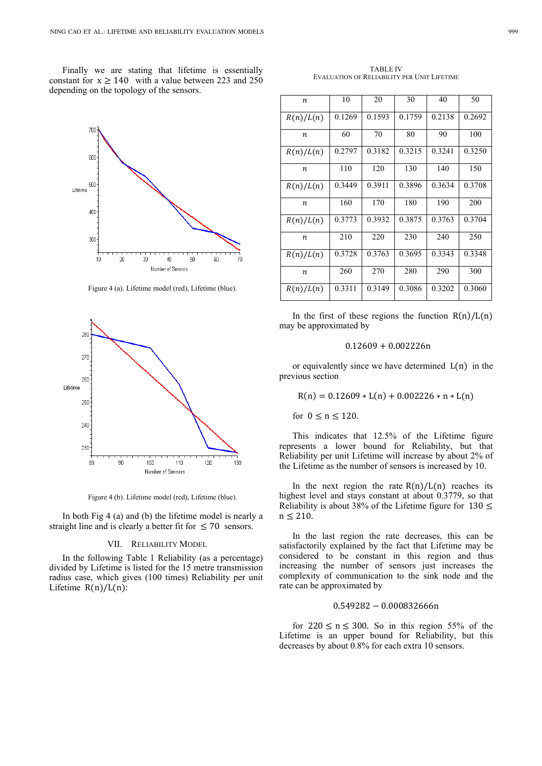Finally we are stating that lifetime is essentially constant for  $x \ge 140$  with a value between 223 and 250 depending on the topology of the sensors.



Figure 4 (a). Lifetime model (red), Lifetime (blue).



Figure 4 (b). Lifetime model (red), Lifetime (blue).

In both Fig 4 (a) and (b) the lifetime model is nearly a straight line and is clearly a better fit for  $\leq 70$  sensors.

# VII. RELIABILITY MODEL

In the following Table 1 Reliability (as a percentage) divided by Lifetime is listed for the 15 metre transmission radius case, which gives (100 times) Reliability per unit Lifetime  $R(n)/L(n)$ :

TABLE IV EVALUATION OF RELIABILITY PER UNIT LIFETIME

| $\boldsymbol{n}$ | 10     | 20     | 30     | 40     | 50     |
|------------------|--------|--------|--------|--------|--------|
| R(n)/L(n)        | 0.1269 | 0.1593 | 0.1759 | 0.2138 | 0.2692 |
| $\boldsymbol{n}$ | 60     | 70     | 80     | 90     | 100    |
| R(n)/L(n)        | 0.2797 | 0.3182 | 0.3215 | 0.3241 | 0.3250 |
| $\boldsymbol{n}$ | 110    | 120    | 130    | 140    | 150    |
| R(n)/L(n)        | 0.3449 | 0.3911 | 0.3896 | 0.3634 | 0.3708 |
| $\boldsymbol{n}$ | 160    | 170    | 180    | 190    | 200    |
| R(n)/L(n)        | 0.3773 | 0.3932 | 0.3875 | 0.3763 | 0.3704 |
| $\boldsymbol{n}$ | 210    | 220    | 230    | 240    | 250    |
| R(n)/L(n)        | 0.3728 | 0.3763 | 0.3695 | 0.3343 | 0.3348 |
| $\boldsymbol{n}$ | 260    | 270    | 280    | 290    | 300    |
| R(n)/L(n)        | 0.3311 | 0.3149 | 0.3086 | 0.3202 | 0.3060 |

In the first of these regions the function  $R(n)/L(n)$ may be approximated by

# $0.12609 + 0.002226n$

or equivalently since we have determined  $L(n)$  in the previous section

$$
R(n) = 0.12609 * L(n) + 0.002226 * n * L(n)
$$

for  $0 < n < 120$ .

This indicates that 12.5% of the Lifetime figure represents a lower bound for Reliability, but that Reliability per unit Lifetime will increase by about 2% of the Lifetime as the number of sensors is increased by 10.

In the next region the rate  $R(n)/L(n)$  reaches its highest level and stays constant at about 0.3779, so that Reliability is about 38% of the Lifetime figure for  $130 \le$  $n \leq 210$ .

In the last region the rate decreases, this can be satisfactorily explained by the fact that Lifetime may be considered to be constant in this region and thus increasing the number of sensors just increases the complexity of communication to the sink node and the rate can be approximated by

# $0.549282 - 0.000832666n$

for  $220 \le n \le 300$ . So in this region 55% of the Lifetime is an upper bound for Reliability, but this decreases by about 0.8% for each extra 10 sensors.